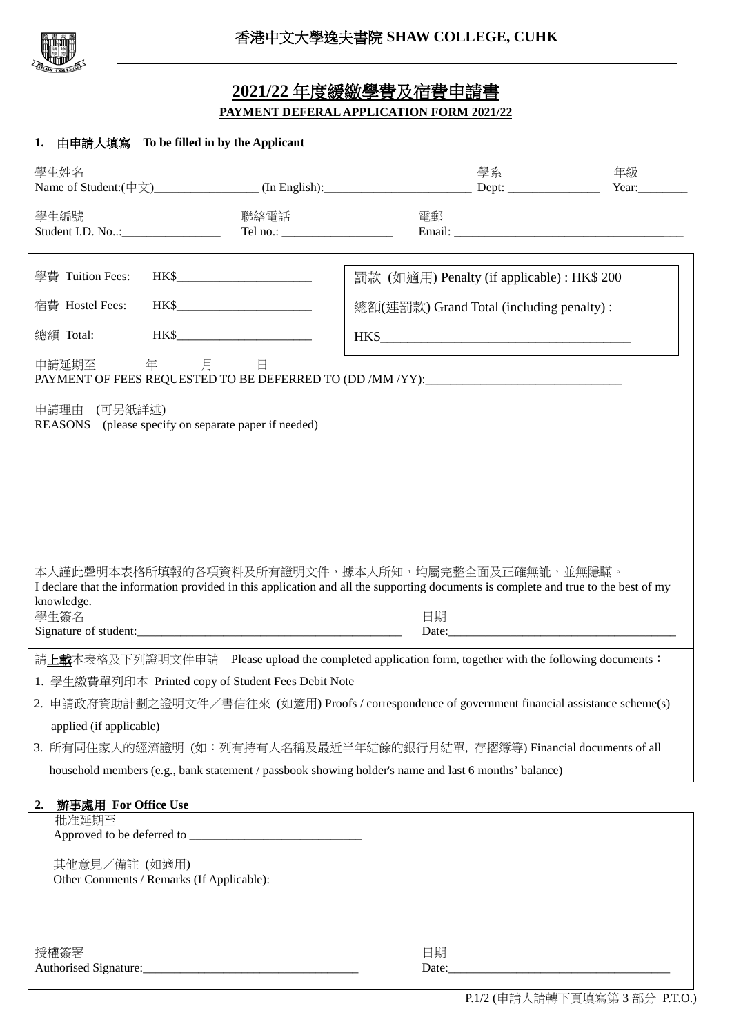

## **2021/22** 年度緩繳學費及宿費申請書 **PAYMENT DEFERALAPPLICATION FORM 2021/22**

## **1.** 由申請人填寫 **To be filled in by the Applicant**

| 學生姓名                                                                                                                                                                                                                |                                                      | Name of Student: $(\pm \chi)$ (In English): Dept: Dept: Dept:                                        | 學系                                         | 年級<br>Year: $\qquad \qquad$ |
|---------------------------------------------------------------------------------------------------------------------------------------------------------------------------------------------------------------------|------------------------------------------------------|------------------------------------------------------------------------------------------------------|--------------------------------------------|-----------------------------|
| 學生編號                                                                                                                                                                                                                | 聯絡電話                                                 | Tel no.: $\qquad \qquad$                                                                             | 電郵                                         |                             |
| 學費 Tuition Fees:                                                                                                                                                                                                    | HK\$                                                 |                                                                                                      | 罰款 (如適用) Penalty (if applicable): HK\$ 200 |                             |
| 宿費 Hostel Fees:                                                                                                                                                                                                     | HK\$                                                 |                                                                                                      | 總額(連罰款) Grand Total (including penalty):   |                             |
| 總額 Total:                                                                                                                                                                                                           | HK\$                                                 |                                                                                                      | HK\$                                       |                             |
| 申請延期至                                                                                                                                                                                                               | 年 月<br>旦                                             | PAYMENT OF FEES REQUESTED TO BE DEFERRED TO (DD /MM /YY):________________________                    |                                            |                             |
| 申請理由 (可另紙詳述)                                                                                                                                                                                                        | REASONS (please specify on separate paper if needed) |                                                                                                      |                                            |                             |
|                                                                                                                                                                                                                     |                                                      |                                                                                                      |                                            |                             |
|                                                                                                                                                                                                                     |                                                      |                                                                                                      |                                            |                             |
|                                                                                                                                                                                                                     |                                                      |                                                                                                      |                                            |                             |
|                                                                                                                                                                                                                     |                                                      |                                                                                                      |                                            |                             |
| 本人謹此聲明本表格所填報的各項資料及所有證明文件,據本人所知,均屬完整全面及正確無訛,並無隱瞞。<br>I declare that the information provided in this application and all the supporting documents is complete and true to the best of my<br>knowledge.<br>學生簽名<br>日期 |                                                      |                                                                                                      |                                            |                             |
|                                                                                                                                                                                                                     | Signature of student:                                |                                                                                                      |                                            |                             |
|                                                                                                                                                                                                                     |                                                      | 請上載本表格及下列證明文件申請 Please upload the completed application form, together with the following documents: |                                            |                             |
|                                                                                                                                                                                                                     | 1. 學生繳費單列印本 Printed copy of Student Fees Debit Note  | 2. 申請政府資助計劃之證明文件/書信往來 (如適用) Proofs / correspondence of government financial assistance scheme(s)     |                                            |                             |
| applied (if applicable)                                                                                                                                                                                             |                                                      |                                                                                                      |                                            |                             |
|                                                                                                                                                                                                                     |                                                      | 3. 所有同住家人的經濟證明 (如:列有持有人名稱及最近半年結餘的銀行月結單,存摺簿等) Financial documents of all                              |                                            |                             |
|                                                                                                                                                                                                                     |                                                      | household members (e.g., bank statement / passbook showing holder's name and last 6 months' balance) |                                            |                             |
| 辦事處用 For Office Use<br>2.                                                                                                                                                                                           |                                                      |                                                                                                      |                                            |                             |
| 批准延期至                                                                                                                                                                                                               |                                                      |                                                                                                      |                                            |                             |
|                                                                                                                                                                                                                     |                                                      |                                                                                                      |                                            |                             |
| 其他意見/備註 (如適用)                                                                                                                                                                                                       | Other Comments / Remarks (If Applicable):            |                                                                                                      |                                            |                             |
|                                                                                                                                                                                                                     |                                                      |                                                                                                      |                                            |                             |
| 授權簽署                                                                                                                                                                                                                |                                                      |                                                                                                      | 日期<br>Date:                                |                             |